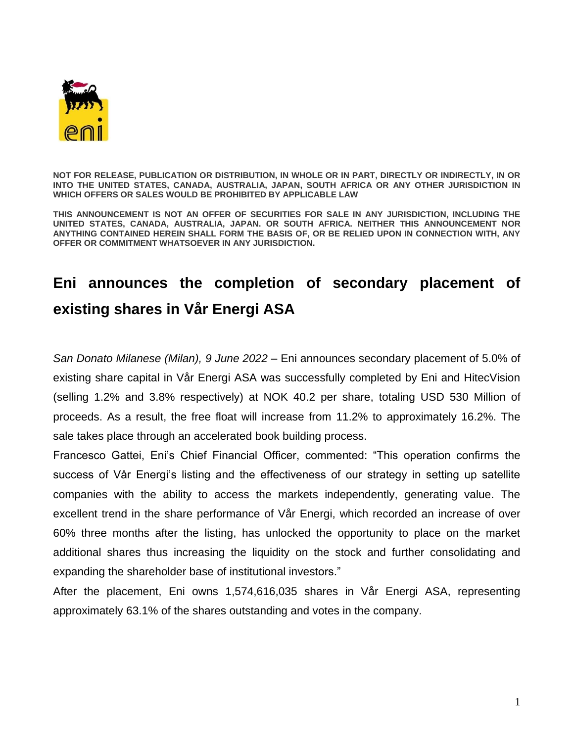

**NOT FOR RELEASE, PUBLICATION OR DISTRIBUTION, IN WHOLE OR IN PART, DIRECTLY OR INDIRECTLY, IN OR INTO THE UNITED STATES, CANADA, AUSTRALIA, JAPAN, SOUTH AFRICA OR ANY OTHER JURISDICTION IN WHICH OFFERS OR SALES WOULD BE PROHIBITED BY APPLICABLE LAW**

**THIS ANNOUNCEMENT IS NOT AN OFFER OF SECURITIES FOR SALE IN ANY JURISDICTION, INCLUDING THE UNITED STATES, CANADA, AUSTRALIA, JAPAN. OR SOUTH AFRICA. NEITHER THIS ANNOUNCEMENT NOR ANYTHING CONTAINED HEREIN SHALL FORM THE BASIS OF, OR BE RELIED UPON IN CONNECTION WITH, ANY OFFER OR COMMITMENT WHATSOEVER IN ANY JURISDICTION.**

## **Eni announces the completion of secondary placement of existing shares in Vår Energi ASA**

*San Donato Milanese (Milan), 9 June 2022* – Eni announces secondary placement of 5.0% of existing share capital in Vår Energi ASA was successfully completed by Eni and HitecVision (selling 1.2% and 3.8% respectively) at NOK 40.2 per share, totaling USD 530 Million of proceeds. As a result, the free float will increase from 11.2% to approximately 16.2%. The sale takes place through an accelerated book building process.

Francesco Gattei, Eni's Chief Financial Officer, commented: "This operation confirms the success of Vår Energi's listing and the effectiveness of our strategy in setting up satellite companies with the ability to access the markets independently, generating value. The excellent trend in the share performance of Vår Energi, which recorded an increase of over 60% three months after the listing, has unlocked the opportunity to place on the market additional shares thus increasing the liquidity on the stock and further consolidating and expanding the shareholder base of institutional investors."

After the placement, Eni owns 1,574,616,035 shares in Vår Energi ASA, representing approximately 63.1% of the shares outstanding and votes in the company.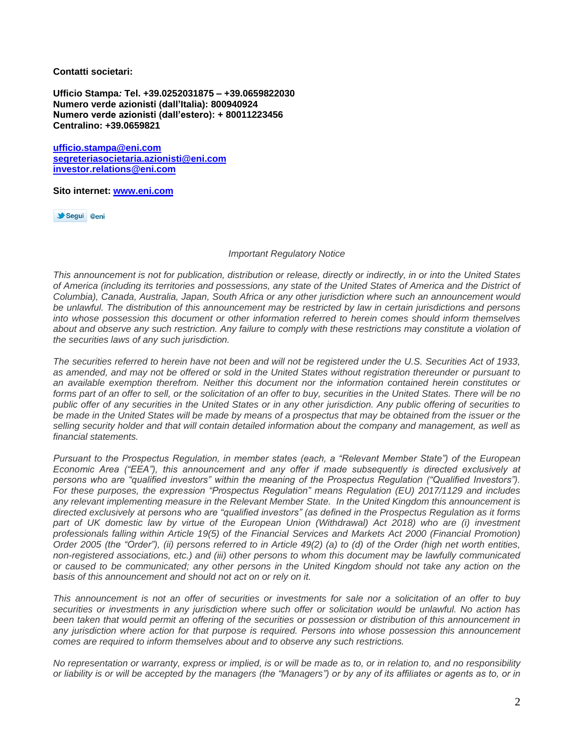**Contatti societari:**

**Ufficio Stampa***:* **Tel. +39.0252031875 – +39.0659822030 Numero verde azionisti (dall'Italia): 800940924 Numero verde azionisti (dall'estero): + 80011223456 Centralino: +39.0659821**

**[ufficio.stampa@eni.com](mailto:ufficio.stampa@eni.com) [segreteriasocietaria.azionisti@eni.com](mailto:segreteriasocietaria.azionisti@eni.com) [investor.relations@eni.com](mailto:investor.relations@eni.com)**

**Sito internet: [www.eni.com](http://www.eni.com/)**

Segui @eni

## *Important Regulatory Notice*

*This announcement is not for publication, distribution or release, directly or indirectly, in or into the United States of America (including its territories and possessions, any state of the United States of America and the District of Columbia), Canada, Australia, Japan, South Africa or any other jurisdiction where such an announcement would be unlawful. The distribution of this announcement may be restricted by law in certain jurisdictions and persons into whose possession this document or other information referred to herein comes should inform themselves about and observe any such restriction. Any failure to comply with these restrictions may constitute a violation of the securities laws of any such jurisdiction.*

*The securities referred to herein have not been and will not be registered under the U.S. Securities Act of 1933, as amended, and may not be offered or sold in the United States without registration thereunder or pursuant to an available exemption therefrom. Neither this document nor the information contained herein constitutes or forms part of an offer to sell, or the solicitation of an offer to buy, securities in the United States. There will be no public offer of any securities in the United States or in any other jurisdiction. Any public offering of securities to be made in the United States will be made by means of a prospectus that may be obtained from the issuer or the selling security holder and that will contain detailed information about the company and management, as well as financial statements.*

*Pursuant to the Prospectus Regulation, in member states (each, a "Relevant Member State") of the European Economic Area ("EEA"), this announcement and any offer if made subsequently is directed exclusively at*  persons who are "qualified investors" within the meaning of the Prospectus Regulation ("Qualified Investors"). *For these purposes, the expression "Prospectus Regulation" means Regulation (EU) 2017/1129 and includes any relevant implementing measure in the Relevant Member State. In the United Kingdom this announcement is directed exclusively at persons who are "qualified investors" (as defined in the Prospectus Regulation as it forms*  part of UK domestic law by virtue of the European Union (Withdrawal) Act 2018) who are *(i)* investment *professionals falling within Article 19(5) of the Financial Services and Markets Act 2000 (Financial Promotion) Order 2005 (the "Order"), (ii) persons referred to in Article 49(2) (a) to (d) of the Order (high net worth entities, non-registered associations, etc.) and (iii) other persons to whom this document may be lawfully communicated or caused to be communicated; any other persons in the United Kingdom should not take any action on the basis of this announcement and should not act on or rely on it.* 

*This announcement is not an offer of securities or investments for sale nor a solicitation of an offer to buy securities or investments in any jurisdiction where such offer or solicitation would be unlawful. No action has been taken that would permit an offering of the securities or possession or distribution of this announcement in any jurisdiction where action for that purpose is required. Persons into whose possession this announcement comes are required to inform themselves about and to observe any such restrictions.*

*No representation or warranty, express or implied, is or will be made as to, or in relation to, and no responsibility or liability is or will be accepted by the managers (the "Managers") or by any of its affiliates or agents as to, or in*